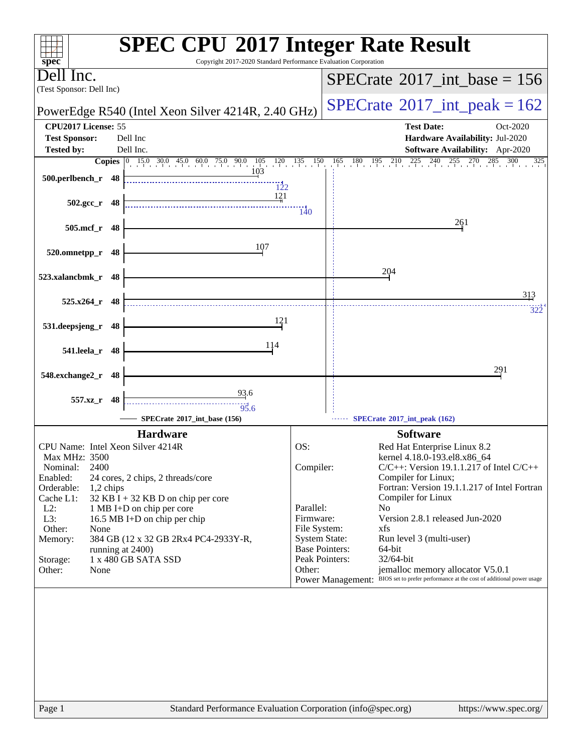| spec <sup>®</sup>                                                                                                                                                                                                                                                                                             | <b>SPEC CPU®2017 Integer Rate Result</b><br>Copyright 2017-2020 Standard Performance Evaluation Corporation |
|---------------------------------------------------------------------------------------------------------------------------------------------------------------------------------------------------------------------------------------------------------------------------------------------------------------|-------------------------------------------------------------------------------------------------------------|
| Dell Inc.<br>(Test Sponsor: Dell Inc)                                                                                                                                                                                                                                                                         | $SPECrate^{\circ}2017\_int\_base = 156$                                                                     |
| PowerEdge R540 (Intel Xeon Silver 4214R, 2.40 GHz)                                                                                                                                                                                                                                                            | $SPECrate^{\circ}2017\_int\_peak = 162$                                                                     |
| CPU2017 License: 55                                                                                                                                                                                                                                                                                           | <b>Test Date:</b><br>Oct-2020                                                                               |
| <b>Test Sponsor:</b><br>Dell Inc                                                                                                                                                                                                                                                                              | Hardware Availability: Jul-2020                                                                             |
| Dell Inc.<br><b>Tested by:</b>                                                                                                                                                                                                                                                                                | Software Availability: Apr-2020                                                                             |
| <b>Copies</b> $\begin{bmatrix} 0 & 15.0 & 30.0 & 45.0 & 60.0 & 75.0 & 90.0 & 105 & 120 & 135 & 150 \\ 0 & 0 & 0 & 10 & 10 & 10 & 10 & 10 \\ 0 & 0 & 0 & 0 & 0 & 10 & 10 & 10 \\ 0 & 0 & 0 & 0 & 0 & 0 & 0 \\ 0 & 0 & 0 & 0 & 0 & 0 & 0 \\ 0 & 0 & 0 & 0 & 0 & 0 & 0 \\ 0 & 0 & 0 & 0 & 0 & 0 & 0 \\ 0 & 0 & $ | $165$ $180$ $195$ $210$ $225$ $240$ $255$ $270$ $285$<br>300<br>325                                         |
| 500.perlbench_r 48<br>122                                                                                                                                                                                                                                                                                     |                                                                                                             |
| 121                                                                                                                                                                                                                                                                                                           |                                                                                                             |
| $502.\text{gcc r}$ 48                                                                                                                                                                                                                                                                                         | $\frac{1}{40}$                                                                                              |
| 505.mcf_r 48                                                                                                                                                                                                                                                                                                  | 261                                                                                                         |
|                                                                                                                                                                                                                                                                                                               |                                                                                                             |
| 107<br>520.omnetpp_r<br>48                                                                                                                                                                                                                                                                                    |                                                                                                             |
|                                                                                                                                                                                                                                                                                                               | 204                                                                                                         |
| 523.xalancbmk_r 48                                                                                                                                                                                                                                                                                            |                                                                                                             |
| $525.x264$ r 48                                                                                                                                                                                                                                                                                               | 313                                                                                                         |
|                                                                                                                                                                                                                                                                                                               | 322                                                                                                         |
| 121<br>531.deepsjeng_r 48                                                                                                                                                                                                                                                                                     |                                                                                                             |
|                                                                                                                                                                                                                                                                                                               |                                                                                                             |
| 114<br>541.leela_r 48                                                                                                                                                                                                                                                                                         |                                                                                                             |
|                                                                                                                                                                                                                                                                                                               | 291                                                                                                         |
| 548.exchange2_r<br>48                                                                                                                                                                                                                                                                                         |                                                                                                             |
| 93.6<br>557.xz_r 48                                                                                                                                                                                                                                                                                           |                                                                                                             |
| $\frac{1}{95.6}$                                                                                                                                                                                                                                                                                              |                                                                                                             |
| SPECrate*2017 int base (156)                                                                                                                                                                                                                                                                                  | SPECrate*2017_int_peak (162)                                                                                |
| <b>Hardware</b>                                                                                                                                                                                                                                                                                               | <b>Software</b>                                                                                             |
| CPU Name: Intel Xeon Silver 4214R<br>Max MHz: 3500                                                                                                                                                                                                                                                            | OS:<br>Red Hat Enterprise Linux 8.2<br>kernel 4.18.0-193.el8.x86_64                                         |
| 2400<br>Nominal:                                                                                                                                                                                                                                                                                              | $C/C++$ : Version 19.1.1.217 of Intel $C/C++$<br>Compiler:                                                  |
| Enabled:<br>24 cores, 2 chips, 2 threads/core                                                                                                                                                                                                                                                                 | Compiler for Linux;                                                                                         |
| Orderable:<br>1,2 chips<br>$32$ KB I + 32 KB D on chip per core                                                                                                                                                                                                                                               | Fortran: Version 19.1.1.217 of Intel Fortran<br>Compiler for Linux                                          |
| Cache L1:<br>$L2$ :<br>1 MB I+D on chip per core                                                                                                                                                                                                                                                              | Parallel:<br>N <sub>0</sub>                                                                                 |
| L3:<br>16.5 MB I+D on chip per chip                                                                                                                                                                                                                                                                           | Version 2.8.1 released Jun-2020<br>Firmware:                                                                |
| Other:<br>None                                                                                                                                                                                                                                                                                                | File System:<br>xfs                                                                                         |
| 384 GB (12 x 32 GB 2Rx4 PC4-2933Y-R,<br>Memory:                                                                                                                                                                                                                                                               | <b>System State:</b><br>Run level 3 (multi-user)<br><b>Base Pointers:</b><br>64-bit                         |
| running at 2400)<br>1 x 480 GB SATA SSD<br>Storage:                                                                                                                                                                                                                                                           | Peak Pointers:<br>32/64-bit                                                                                 |
| Other:<br>None                                                                                                                                                                                                                                                                                                | jemalloc memory allocator V5.0.1<br>Other:                                                                  |
|                                                                                                                                                                                                                                                                                                               | Power Management: BIOS set to prefer performance at the cost of additional power usage                      |
|                                                                                                                                                                                                                                                                                                               |                                                                                                             |
|                                                                                                                                                                                                                                                                                                               |                                                                                                             |
|                                                                                                                                                                                                                                                                                                               |                                                                                                             |
|                                                                                                                                                                                                                                                                                                               |                                                                                                             |
|                                                                                                                                                                                                                                                                                                               |                                                                                                             |
|                                                                                                                                                                                                                                                                                                               |                                                                                                             |
|                                                                                                                                                                                                                                                                                                               |                                                                                                             |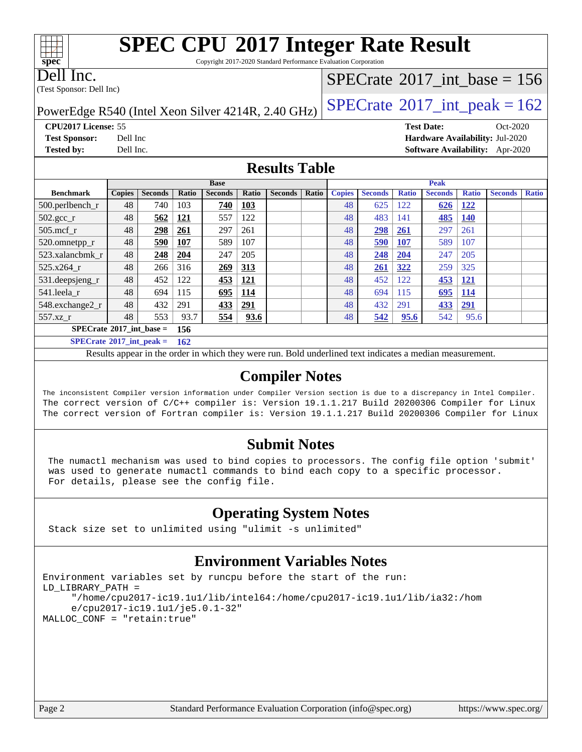Copyright 2017-2020 Standard Performance Evaluation Corporation

Dell Inc.

**[spec](http://www.spec.org/)**

 $\pm\pm\prime$ 

(Test Sponsor: Dell Inc)

## $SPECTate$ <sup>®</sup>[2017\\_int\\_base =](http://www.spec.org/auto/cpu2017/Docs/result-fields.html#SPECrate2017intbase) 156

PowerEdge R540 (Intel Xeon Silver 4214R, 2.40 GHz)  $\left|$  [SPECrate](http://www.spec.org/auto/cpu2017/Docs/result-fields.html#SPECrate2017intpeak)<sup>®</sup>[2017\\_int\\_peak = 1](http://www.spec.org/auto/cpu2017/Docs/result-fields.html#SPECrate2017intpeak)62

**[Tested by:](http://www.spec.org/auto/cpu2017/Docs/result-fields.html#Testedby)** Dell Inc. **[Software Availability:](http://www.spec.org/auto/cpu2017/Docs/result-fields.html#SoftwareAvailability)** Apr-2020

**[CPU2017 License:](http://www.spec.org/auto/cpu2017/Docs/result-fields.html#CPU2017License)** 55 **[Test Date:](http://www.spec.org/auto/cpu2017/Docs/result-fields.html#TestDate)** Oct-2020 **[Test Sponsor:](http://www.spec.org/auto/cpu2017/Docs/result-fields.html#TestSponsor)** Dell Inc **[Hardware Availability:](http://www.spec.org/auto/cpu2017/Docs/result-fields.html#HardwareAvailability)** Jul-2020

## **[Results Table](http://www.spec.org/auto/cpu2017/Docs/result-fields.html#ResultsTable)**

|                                   | <b>Base</b>   |                |            | <b>Peak</b>    |            |                |       |               |                |              |                |              |                |              |
|-----------------------------------|---------------|----------------|------------|----------------|------------|----------------|-------|---------------|----------------|--------------|----------------|--------------|----------------|--------------|
| <b>Benchmark</b>                  | <b>Copies</b> | <b>Seconds</b> | Ratio      | <b>Seconds</b> | Ratio      | <b>Seconds</b> | Ratio | <b>Copies</b> | <b>Seconds</b> | <b>Ratio</b> | <b>Seconds</b> | <b>Ratio</b> | <b>Seconds</b> | <b>Ratio</b> |
| 500.perlbench_r                   | 48            | 740            | 103        | 740            | 103        |                |       | 48            | 625            | 122          | 626            | <u>122</u>   |                |              |
| $502.\text{sec}$                  | 48            | 562            | <u>121</u> | 557            | 122        |                |       | 48            | 483            | 141          | <u>485</u>     | <u>140</u>   |                |              |
| $505$ .mcf r                      | 48            | <u>298</u>     | 261        | 297            | 261        |                |       | 48            | <u>298</u>     | 261          | 297            | 261          |                |              |
| 520.omnetpp_r                     | 48            | 590            | <b>107</b> | 589            | 107        |                |       | 48            | 590            | 107          | 589            | 107          |                |              |
| 523.xalancbmk r                   | 48            | 248            | 204        | 247            | 205        |                |       | 48            | 248            | 204          | 247            | 205          |                |              |
| 525.x264 r                        | 48            | 266            | 316        | 269            | 313        |                |       | 48            | 261            | 322          | 259            | 325          |                |              |
| 531.deepsjeng_r                   | 48            | 452            | 122        | 453            | <u>121</u> |                |       | 48            | 452            | 122          | 453            | <u>121</u>   |                |              |
| 541.leela r                       | 48            | 694            | 115        | 695            | <b>114</b> |                |       | 48            | 694            | 115          | 695            | <b>114</b>   |                |              |
| 548.exchange2_r                   | 48            | 432            | 291        | 433            | 291        |                |       | 48            | 432            | 291          | 433            | 291          |                |              |
| 557.xz r                          | 48            | 553            | 93.7       | 554            | 93.6       |                |       | 48            | 542            | 95.6         | 542            | 95.6         |                |              |
| $SPECrate^{\circ}2017$ int base = |               |                | 156        |                |            |                |       |               |                |              |                |              |                |              |
| $SPECrate^{\circ}2017$ int peak = |               |                | <b>162</b> |                |            |                |       |               |                |              |                |              |                |              |

Results appear in the [order in which they were run.](http://www.spec.org/auto/cpu2017/Docs/result-fields.html#RunOrder) Bold underlined text [indicates a median measurement.](http://www.spec.org/auto/cpu2017/Docs/result-fields.html#Median)

## **[Compiler Notes](http://www.spec.org/auto/cpu2017/Docs/result-fields.html#CompilerNotes)**

The inconsistent Compiler version information under Compiler Version section is due to a discrepancy in Intel Compiler. The correct version of C/C++ compiler is: Version 19.1.1.217 Build 20200306 Compiler for Linux The correct version of Fortran compiler is: Version 19.1.1.217 Build 20200306 Compiler for Linux

### **[Submit Notes](http://www.spec.org/auto/cpu2017/Docs/result-fields.html#SubmitNotes)**

 The numactl mechanism was used to bind copies to processors. The config file option 'submit' was used to generate numactl commands to bind each copy to a specific processor. For details, please see the config file.

## **[Operating System Notes](http://www.spec.org/auto/cpu2017/Docs/result-fields.html#OperatingSystemNotes)**

Stack size set to unlimited using "ulimit -s unlimited"

## **[Environment Variables Notes](http://www.spec.org/auto/cpu2017/Docs/result-fields.html#EnvironmentVariablesNotes)**

```
Environment variables set by runcpu before the start of the run:
LD_LIBRARY_PATH =
      "/home/cpu2017-ic19.1u1/lib/intel64:/home/cpu2017-ic19.1u1/lib/ia32:/hom
      e/cpu2017-ic19.1u1/je5.0.1-32"
MALLOC_CONF = "retain:true"
```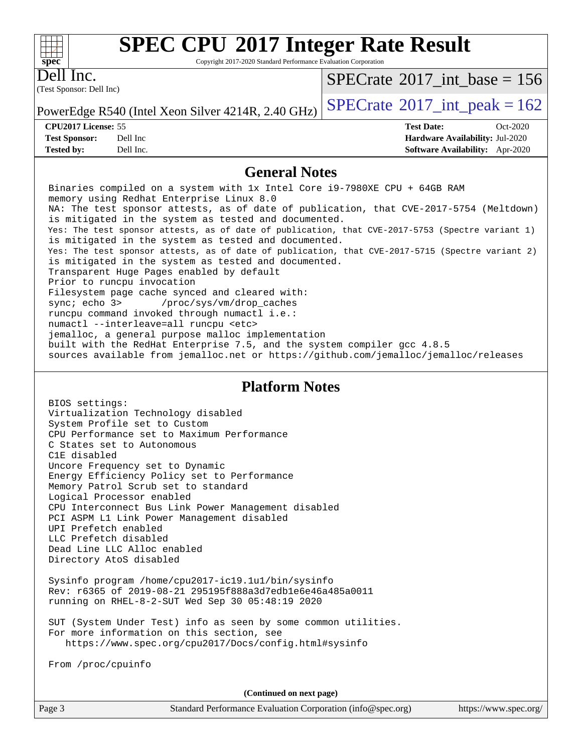Copyright 2017-2020 Standard Performance Evaluation Corporation

Dell Inc.

**[spec](http://www.spec.org/)**

 $+\ +$ 

(Test Sponsor: Dell Inc)

 $SPECrate$ <sup>®</sup>[2017\\_int\\_base =](http://www.spec.org/auto/cpu2017/Docs/result-fields.html#SPECrate2017intbase) 156

PowerEdge R540 (Intel Xeon Silver 4214R, 2.40 GHz)  $\left|$  [SPECrate](http://www.spec.org/auto/cpu2017/Docs/result-fields.html#SPECrate2017intpeak)<sup>®</sup>[2017\\_int\\_peak = 1](http://www.spec.org/auto/cpu2017/Docs/result-fields.html#SPECrate2017intpeak)62

**[Tested by:](http://www.spec.org/auto/cpu2017/Docs/result-fields.html#Testedby)** Dell Inc. **[Software Availability:](http://www.spec.org/auto/cpu2017/Docs/result-fields.html#SoftwareAvailability)** Apr-2020

**[CPU2017 License:](http://www.spec.org/auto/cpu2017/Docs/result-fields.html#CPU2017License)** 55 **[Test Date:](http://www.spec.org/auto/cpu2017/Docs/result-fields.html#TestDate)** Oct-2020 **[Test Sponsor:](http://www.spec.org/auto/cpu2017/Docs/result-fields.html#TestSponsor)** Dell Inc **[Hardware Availability:](http://www.spec.org/auto/cpu2017/Docs/result-fields.html#HardwareAvailability)** Jul-2020

## **[General Notes](http://www.spec.org/auto/cpu2017/Docs/result-fields.html#GeneralNotes)**

 Binaries compiled on a system with 1x Intel Core i9-7980XE CPU + 64GB RAM memory using Redhat Enterprise Linux 8.0 NA: The test sponsor attests, as of date of publication, that CVE-2017-5754 (Meltdown) is mitigated in the system as tested and documented. Yes: The test sponsor attests, as of date of publication, that CVE-2017-5753 (Spectre variant 1) is mitigated in the system as tested and documented. Yes: The test sponsor attests, as of date of publication, that CVE-2017-5715 (Spectre variant 2) is mitigated in the system as tested and documented. Transparent Huge Pages enabled by default Prior to runcpu invocation Filesystem page cache synced and cleared with: sync; echo 3> /proc/sys/vm/drop\_caches runcpu command invoked through numactl i.e.: numactl --interleave=all runcpu <etc> jemalloc, a general purpose malloc implementation built with the RedHat Enterprise 7.5, and the system compiler gcc 4.8.5 sources available from jemalloc.net or<https://github.com/jemalloc/jemalloc/releases>

### **[Platform Notes](http://www.spec.org/auto/cpu2017/Docs/result-fields.html#PlatformNotes)**

 BIOS settings: Virtualization Technology disabled System Profile set to Custom CPU Performance set to Maximum Performance C States set to Autonomous C1E disabled Uncore Frequency set to Dynamic Energy Efficiency Policy set to Performance Memory Patrol Scrub set to standard Logical Processor enabled CPU Interconnect Bus Link Power Management disabled PCI ASPM L1 Link Power Management disabled UPI Prefetch enabled LLC Prefetch disabled Dead Line LLC Alloc enabled Directory AtoS disabled

 Sysinfo program /home/cpu2017-ic19.1u1/bin/sysinfo Rev: r6365 of 2019-08-21 295195f888a3d7edb1e6e46a485a0011 running on RHEL-8-2-SUT Wed Sep 30 05:48:19 2020

 SUT (System Under Test) info as seen by some common utilities. For more information on this section, see <https://www.spec.org/cpu2017/Docs/config.html#sysinfo>

From /proc/cpuinfo

**(Continued on next page)**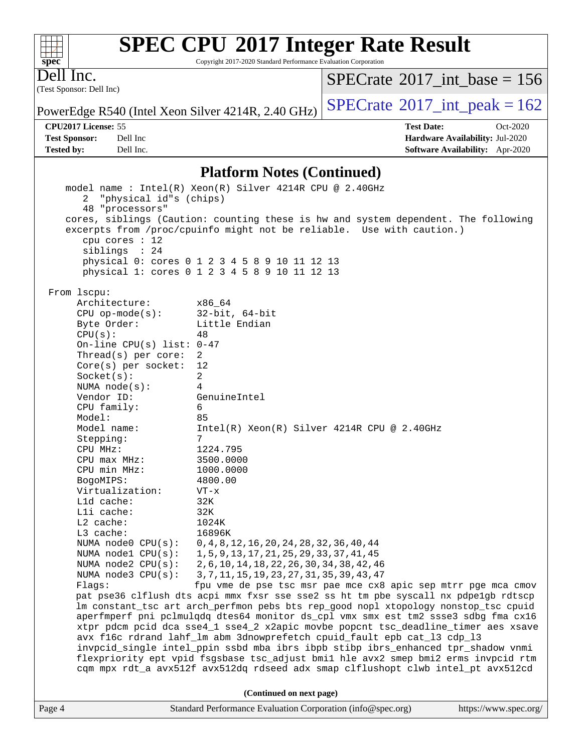Copyright 2017-2020 Standard Performance Evaluation Corporation

(Test Sponsor: Dell Inc) Dell Inc.

**[spec](http://www.spec.org/)**

 $+\!\!+\!\!$ 

 $SPECTate$ <sup>®</sup>[2017\\_int\\_base =](http://www.spec.org/auto/cpu2017/Docs/result-fields.html#SPECrate2017intbase) 156

PowerEdge R540 (Intel Xeon Silver 4214R, 2.40 GHz)  $\left|$  [SPECrate](http://www.spec.org/auto/cpu2017/Docs/result-fields.html#SPECrate2017intpeak)<sup>®</sup>[2017\\_int\\_peak = 1](http://www.spec.org/auto/cpu2017/Docs/result-fields.html#SPECrate2017intpeak)62

**[Tested by:](http://www.spec.org/auto/cpu2017/Docs/result-fields.html#Testedby)** Dell Inc. **[Software Availability:](http://www.spec.org/auto/cpu2017/Docs/result-fields.html#SoftwareAvailability)** Apr-2020

**[CPU2017 License:](http://www.spec.org/auto/cpu2017/Docs/result-fields.html#CPU2017License)** 55 **[Test Date:](http://www.spec.org/auto/cpu2017/Docs/result-fields.html#TestDate)** Oct-2020 **[Test Sponsor:](http://www.spec.org/auto/cpu2017/Docs/result-fields.html#TestSponsor)** Dell Inc **[Hardware Availability:](http://www.spec.org/auto/cpu2017/Docs/result-fields.html#HardwareAvailability)** Jul-2020

#### **[Platform Notes \(Continued\)](http://www.spec.org/auto/cpu2017/Docs/result-fields.html#PlatformNotes)**

Page 4 Standard Performance Evaluation Corporation [\(info@spec.org\)](mailto:info@spec.org) <https://www.spec.org/> model name : Intel(R) Xeon(R) Silver 4214R CPU @ 2.40GHz 2 "physical id"s (chips) 48 "processors" cores, siblings (Caution: counting these is hw and system dependent. The following excerpts from /proc/cpuinfo might not be reliable. Use with caution.) cpu cores : 12 siblings : 24 physical 0: cores 0 1 2 3 4 5 8 9 10 11 12 13 physical 1: cores 0 1 2 3 4 5 8 9 10 11 12 13 From lscpu: Architecture: x86\_64 CPU op-mode(s): 32-bit, 64-bit Byte Order: Little Endian  $CPU(s):$  48 On-line CPU(s) list: 0-47 Thread(s) per core: 2 Core(s) per socket: 12 Socket(s): 2 NUMA node(s): 4 Vendor ID: GenuineIntel CPU family: 6 Model: 85 Model name: Intel(R) Xeon(R) Silver 4214R CPU @ 2.40GHz Stepping: 7 CPU MHz: 1224.795 CPU max MHz: 3500.0000 CPU min MHz: 1000.0000 BogoMIPS: 4800.00 Virtualization: VT-x L1d cache: 32K L1i cache: 32K L2 cache: 1024K L3 cache: 16896K NUMA node0 CPU(s): 0,4,8,12,16,20,24,28,32,36,40,44 NUMA node1 CPU(s): 1,5,9,13,17,21,25,29,33,37,41,45 NUMA node2 CPU(s): 2,6,10,14,18,22,26,30,34,38,42,46 NUMA node3 CPU(s): 3,7,11,15,19,23,27,31,35,39,43,47 Flags: fpu vme de pse tsc msr pae mce cx8 apic sep mtrr pge mca cmov pat pse36 clflush dts acpi mmx fxsr sse sse2 ss ht tm pbe syscall nx pdpe1gb rdtscp lm constant\_tsc art arch\_perfmon pebs bts rep\_good nopl xtopology nonstop\_tsc cpuid aperfmperf pni pclmulqdq dtes64 monitor ds\_cpl vmx smx est tm2 ssse3 sdbg fma cx16 xtpr pdcm pcid dca sse4\_1 sse4\_2 x2apic movbe popcnt tsc\_deadline\_timer aes xsave avx f16c rdrand lahf\_lm abm 3dnowprefetch cpuid\_fault epb cat\_l3 cdp\_l3 invpcid\_single intel\_ppin ssbd mba ibrs ibpb stibp ibrs\_enhanced tpr\_shadow vnmi flexpriority ept vpid fsgsbase tsc\_adjust bmi1 hle avx2 smep bmi2 erms invpcid rtm cqm mpx rdt\_a avx512f avx512dq rdseed adx smap clflushopt clwb intel\_pt avx512cd **(Continued on next page)**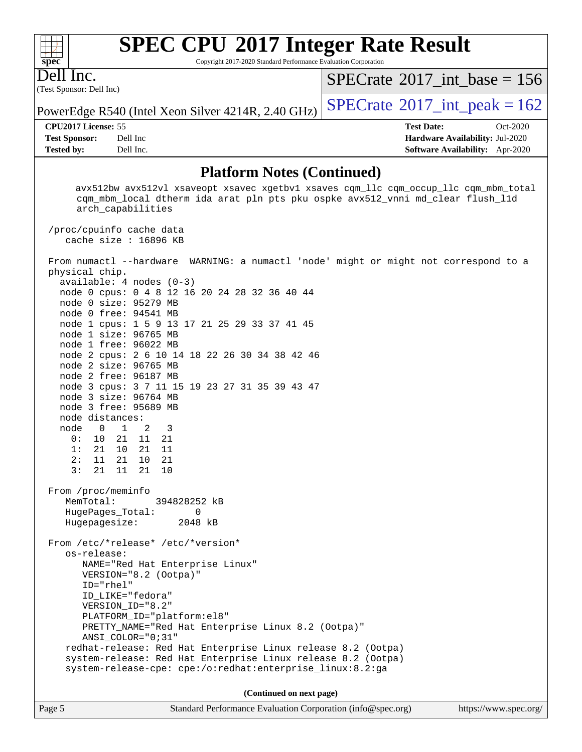Copyright 2017-2020 Standard Performance Evaluation Corporation

(Test Sponsor: Dell Inc) Dell Inc.

**[spec](http://www.spec.org/)**

 $+\!\!+\!\!$ 

 $SPECTate$ <sup>®</sup>[2017\\_int\\_base =](http://www.spec.org/auto/cpu2017/Docs/result-fields.html#SPECrate2017intbase) 156

PowerEdge R540 (Intel Xeon Silver 4214R, 2.40 GHz)  $\left|$  [SPECrate](http://www.spec.org/auto/cpu2017/Docs/result-fields.html#SPECrate2017intpeak)<sup>®</sup>[2017\\_int\\_peak = 1](http://www.spec.org/auto/cpu2017/Docs/result-fields.html#SPECrate2017intpeak)62

**[Test Sponsor:](http://www.spec.org/auto/cpu2017/Docs/result-fields.html#TestSponsor)** Dell Inc **[Hardware Availability:](http://www.spec.org/auto/cpu2017/Docs/result-fields.html#HardwareAvailability)** Jul-2020 **[Tested by:](http://www.spec.org/auto/cpu2017/Docs/result-fields.html#Testedby)** Dell Inc. **[Software Availability:](http://www.spec.org/auto/cpu2017/Docs/result-fields.html#SoftwareAvailability)** Apr-2020

**[CPU2017 License:](http://www.spec.org/auto/cpu2017/Docs/result-fields.html#CPU2017License)** 55 **[Test Date:](http://www.spec.org/auto/cpu2017/Docs/result-fields.html#TestDate)** Oct-2020

**[Platform Notes \(Continued\)](http://www.spec.org/auto/cpu2017/Docs/result-fields.html#PlatformNotes)**

 avx512bw avx512vl xsaveopt xsavec xgetbv1 xsaves cqm\_llc cqm\_occup\_llc cqm\_mbm\_total cqm\_mbm\_local dtherm ida arat pln pts pku ospke avx512\_vnni md\_clear flush\_l1d arch\_capabilities /proc/cpuinfo cache data cache size : 16896 KB From numactl --hardware WARNING: a numactl 'node' might or might not correspond to a physical chip. available: 4 nodes (0-3) node 0 cpus: 0 4 8 12 16 20 24 28 32 36 40 44 node 0 size: 95279 MB node 0 free: 94541 MB node 1 cpus: 1 5 9 13 17 21 25 29 33 37 41 45 node 1 size: 96765 MB node 1 free: 96022 MB node 2 cpus: 2 6 10 14 18 22 26 30 34 38 42 46 node 2 size: 96765 MB node 2 free: 96187 MB node 3 cpus: 3 7 11 15 19 23 27 31 35 39 43 47 node 3 size: 96764 MB node 3 free: 95689 MB node distances: node 0 1 2 3 0: 10 21 11 21 1: 21 10 21 11 2: 11 21 10 21 3: 21 11 21 10 From /proc/meminfo MemTotal: 394828252 kB HugePages\_Total: 0 Hugepagesize: 2048 kB From /etc/\*release\* /etc/\*version\* os-release: NAME="Red Hat Enterprise Linux" VERSION="8.2 (Ootpa)" ID="rhel" ID\_LIKE="fedora" VERSION\_ID="8.2" PLATFORM\_ID="platform:el8" PRETTY\_NAME="Red Hat Enterprise Linux 8.2 (Ootpa)" ANSI\_COLOR="0;31" redhat-release: Red Hat Enterprise Linux release 8.2 (Ootpa) system-release: Red Hat Enterprise Linux release 8.2 (Ootpa) system-release-cpe: cpe:/o:redhat:enterprise\_linux:8.2:ga **(Continued on next page)**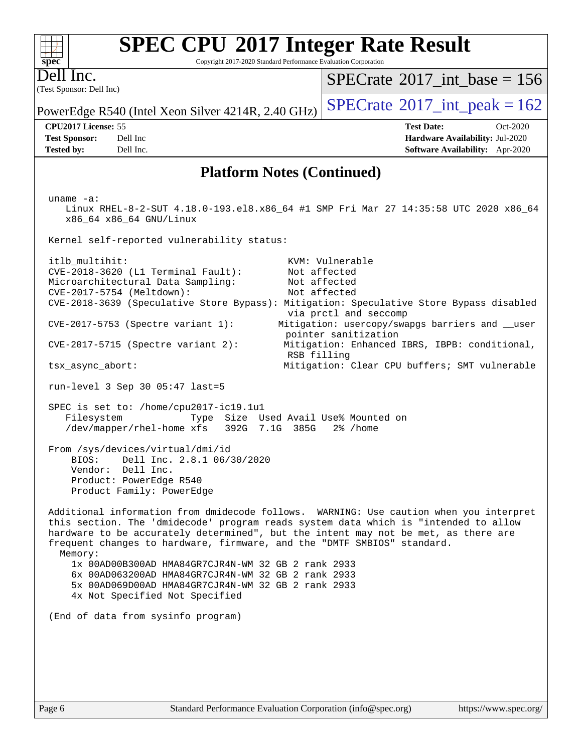| <b>SPEC CPU®2017 Integer Rate Result</b><br>Copyright 2017-2020 Standard Performance Evaluation Corporation<br>$spec^*$                                                                                                                                                                                                                                                                                                                                               |                                                                                                                                             |
|-----------------------------------------------------------------------------------------------------------------------------------------------------------------------------------------------------------------------------------------------------------------------------------------------------------------------------------------------------------------------------------------------------------------------------------------------------------------------|---------------------------------------------------------------------------------------------------------------------------------------------|
| Dell Inc.<br>(Test Sponsor: Dell Inc)                                                                                                                                                                                                                                                                                                                                                                                                                                 | $SPECrate^{\circledast}2017$ int base = 156                                                                                                 |
| PowerEdge R540 (Intel Xeon Silver 4214R, 2.40 GHz)                                                                                                                                                                                                                                                                                                                                                                                                                    | $SPECTate$ <sup>®</sup> 2017_int_peak = 162                                                                                                 |
| CPU2017 License: 55<br>Dell Inc<br><b>Test Sponsor:</b>                                                                                                                                                                                                                                                                                                                                                                                                               | <b>Test Date:</b><br>Oct-2020<br>Hardware Availability: Jul-2020                                                                            |
| <b>Tested by:</b><br>Dell Inc.                                                                                                                                                                                                                                                                                                                                                                                                                                        | Software Availability: Apr-2020                                                                                                             |
| <b>Platform Notes (Continued)</b>                                                                                                                                                                                                                                                                                                                                                                                                                                     |                                                                                                                                             |
| uname $-a$ :<br>Linux RHEL-8-2-SUT 4.18.0-193.el8.x86_64 #1 SMP Fri Mar 27 14:35:58 UTC 2020 x86_64<br>x86_64 x86_64 GNU/Linux                                                                                                                                                                                                                                                                                                                                        |                                                                                                                                             |
| Kernel self-reported vulnerability status:                                                                                                                                                                                                                                                                                                                                                                                                                            |                                                                                                                                             |
| itlb_multihit:<br>CVE-2018-3620 (L1 Terminal Fault):<br>Microarchitectural Data Sampling:<br>CVE-2017-5754 (Meltdown):<br>CVE-2018-3639 (Speculative Store Bypass): Mitigation: Speculative Store Bypass disabled<br>CVE-2017-5753 (Spectre variant 1):                                                                                                                                                                                                               | KVM: Vulnerable<br>Not affected<br>Not affected<br>Not affected<br>via prctl and seccomp<br>Mitigation: usercopy/swapgs barriers and __user |
| $CVE-2017-5715$ (Spectre variant 2):                                                                                                                                                                                                                                                                                                                                                                                                                                  | pointer sanitization<br>Mitigation: Enhanced IBRS, IBPB: conditional,<br>RSB filling                                                        |
| tsx_async_abort:                                                                                                                                                                                                                                                                                                                                                                                                                                                      | Mitigation: Clear CPU buffers; SMT vulnerable                                                                                               |
| run-level 3 Sep 30 05:47 last=5                                                                                                                                                                                                                                                                                                                                                                                                                                       |                                                                                                                                             |
| SPEC is set to: /home/cpu2017-ic19.1u1<br>Type Size Used Avail Use% Mounted on<br>Filesystem<br>/dev/mapper/rhel-home xfs<br>392G 7.1G 385G                                                                                                                                                                                                                                                                                                                           | 2% /home                                                                                                                                    |
| From /sys/devices/virtual/dmi/id<br>BIOS: Dell Inc. 2.8.1 06/30/2020<br>Vendor: Dell Inc.<br>Product: PowerEdge R540<br>Product Family: PowerEdge                                                                                                                                                                                                                                                                                                                     |                                                                                                                                             |
| Additional information from dmidecode follows. WARNING: Use caution when you interpret<br>this section. The 'dmidecode' program reads system data which is "intended to allow<br>hardware to be accurately determined", but the intent may not be met, as there are<br>frequent changes to hardware, firmware, and the "DMTF SMBIOS" standard.<br>Memory:<br>1x 00AD00B300AD HMA84GR7CJR4N-WM 32 GB 2 rank 2933<br>6x 00AD063200AD HMA84GR7CJR4N-WM 32 GB 2 rank 2933 |                                                                                                                                             |
| 5x 00AD069D00AD HMA84GR7CJR4N-WM 32 GB 2 rank 2933<br>4x Not Specified Not Specified                                                                                                                                                                                                                                                                                                                                                                                  |                                                                                                                                             |
| (End of data from sysinfo program)                                                                                                                                                                                                                                                                                                                                                                                                                                    |                                                                                                                                             |
|                                                                                                                                                                                                                                                                                                                                                                                                                                                                       |                                                                                                                                             |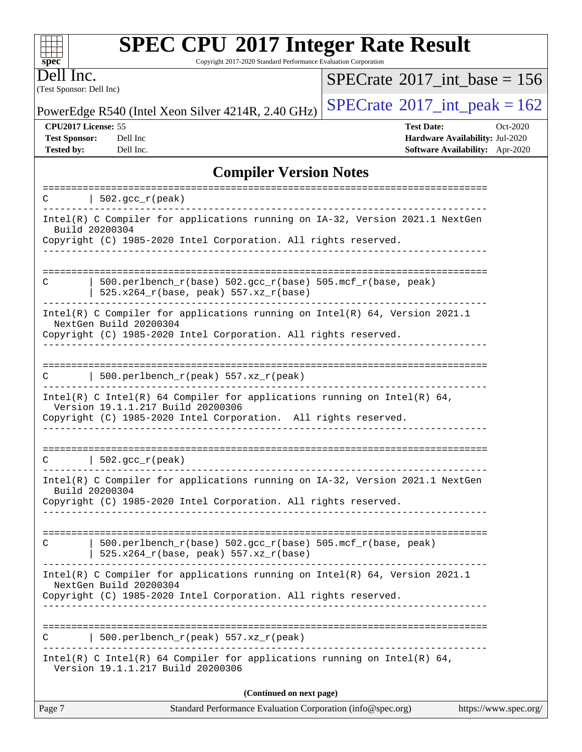Copyright 2017-2020 Standard Performance Evaluation Corporation

(Test Sponsor: Dell Inc) Dell Inc.

**[spec](http://www.spec.org/)**

 $+\!\!+\!\!$ 

 $SPECrate$ <sup>®</sup>[2017\\_int\\_base =](http://www.spec.org/auto/cpu2017/Docs/result-fields.html#SPECrate2017intbase) 156

PowerEdge R540 (Intel Xeon Silver 4214R, 2.40 GHz)  $\left|$  [SPECrate](http://www.spec.org/auto/cpu2017/Docs/result-fields.html#SPECrate2017intpeak)<sup>®</sup>[2017\\_int\\_peak = 1](http://www.spec.org/auto/cpu2017/Docs/result-fields.html#SPECrate2017intpeak)62

**[Tested by:](http://www.spec.org/auto/cpu2017/Docs/result-fields.html#Testedby)** Dell Inc. **[Software Availability:](http://www.spec.org/auto/cpu2017/Docs/result-fields.html#SoftwareAvailability)** Apr-2020

**[CPU2017 License:](http://www.spec.org/auto/cpu2017/Docs/result-fields.html#CPU2017License)** 55 **[Test Date:](http://www.spec.org/auto/cpu2017/Docs/result-fields.html#TestDate)** Oct-2020 **[Test Sponsor:](http://www.spec.org/auto/cpu2017/Docs/result-fields.html#TestSponsor)** Dell Inc **[Hardware Availability:](http://www.spec.org/auto/cpu2017/Docs/result-fields.html#HardwareAvailability)** Jul-2020

## **[Compiler Version Notes](http://www.spec.org/auto/cpu2017/Docs/result-fields.html#CompilerVersionNotes)**

| 502.gcc_r(peak)<br>C<br>______________<br>Intel(R) C Compiler for applications running on IA-32, Version 2021.1 NextGen<br>Build 20200304<br>Copyright (C) 1985-2020 Intel Corporation. All rights reserved.<br>____________________________________<br>500.perlbench_r(base) 502.gcc_r(base) 505.mcf_r(base, peak)<br>C<br>$525.x264_r(base, peak) 557.xz_r(base)$<br>Intel(R) C Compiler for applications running on Intel(R) $64$ , Version 2021.1<br>NextGen Build 20200304<br>Copyright (C) 1985-2020 Intel Corporation. All rights reserved.<br>  $500.perlbench_r(peak) 557. xz_r(peak)$<br>C<br>Intel(R) C Intel(R) 64 Compiler for applications running on Intel(R) 64,<br>Version 19.1.1.217 Build 20200306<br>Copyright (C) 1985-2020 Intel Corporation. All rights reserved.<br>$  502.\text{gcc_r(peak)}$<br>C<br>Intel(R) C Compiler for applications running on IA-32, Version 2021.1 NextGen<br>Build 20200304<br>Copyright (C) 1985-2020 Intel Corporation. All rights reserved.<br>500.perlbench_r(base) 502.gcc_r(base) 505.mcf_r(base, peak)<br>C<br>$525.x264_r(base, peak) 557.xz_r(base)$<br>Intel(R) C Compiler for applications running on Intel(R) $64$ , Version 2021.1<br>NextGen Build 20200304<br>Copyright (C) 1985-2020 Intel Corporation. All rights reserved.<br>500.perlbench_r(peak) 557.xz_r(peak)<br>C<br>Intel(R) C Intel(R) 64 Compiler for applications running on Intel(R) 64,<br>Version 19.1.1.217 Build 20200306<br>(Continued on next page) | Standard Performance Evaluation Corporation (info@spec.org)<br>Page 7 | https://www.spec.org/ |
|-------------------------------------------------------------------------------------------------------------------------------------------------------------------------------------------------------------------------------------------------------------------------------------------------------------------------------------------------------------------------------------------------------------------------------------------------------------------------------------------------------------------------------------------------------------------------------------------------------------------------------------------------------------------------------------------------------------------------------------------------------------------------------------------------------------------------------------------------------------------------------------------------------------------------------------------------------------------------------------------------------------------------------------------------------------------------------------------------------------------------------------------------------------------------------------------------------------------------------------------------------------------------------------------------------------------------------------------------------------------------------------------------------------------------------------------------------------------------------------------|-----------------------------------------------------------------------|-----------------------|
|                                                                                                                                                                                                                                                                                                                                                                                                                                                                                                                                                                                                                                                                                                                                                                                                                                                                                                                                                                                                                                                                                                                                                                                                                                                                                                                                                                                                                                                                                           |                                                                       |                       |
|                                                                                                                                                                                                                                                                                                                                                                                                                                                                                                                                                                                                                                                                                                                                                                                                                                                                                                                                                                                                                                                                                                                                                                                                                                                                                                                                                                                                                                                                                           |                                                                       |                       |
|                                                                                                                                                                                                                                                                                                                                                                                                                                                                                                                                                                                                                                                                                                                                                                                                                                                                                                                                                                                                                                                                                                                                                                                                                                                                                                                                                                                                                                                                                           |                                                                       |                       |
|                                                                                                                                                                                                                                                                                                                                                                                                                                                                                                                                                                                                                                                                                                                                                                                                                                                                                                                                                                                                                                                                                                                                                                                                                                                                                                                                                                                                                                                                                           |                                                                       |                       |
|                                                                                                                                                                                                                                                                                                                                                                                                                                                                                                                                                                                                                                                                                                                                                                                                                                                                                                                                                                                                                                                                                                                                                                                                                                                                                                                                                                                                                                                                                           |                                                                       |                       |
|                                                                                                                                                                                                                                                                                                                                                                                                                                                                                                                                                                                                                                                                                                                                                                                                                                                                                                                                                                                                                                                                                                                                                                                                                                                                                                                                                                                                                                                                                           |                                                                       |                       |
|                                                                                                                                                                                                                                                                                                                                                                                                                                                                                                                                                                                                                                                                                                                                                                                                                                                                                                                                                                                                                                                                                                                                                                                                                                                                                                                                                                                                                                                                                           |                                                                       |                       |
|                                                                                                                                                                                                                                                                                                                                                                                                                                                                                                                                                                                                                                                                                                                                                                                                                                                                                                                                                                                                                                                                                                                                                                                                                                                                                                                                                                                                                                                                                           |                                                                       |                       |
|                                                                                                                                                                                                                                                                                                                                                                                                                                                                                                                                                                                                                                                                                                                                                                                                                                                                                                                                                                                                                                                                                                                                                                                                                                                                                                                                                                                                                                                                                           |                                                                       |                       |
|                                                                                                                                                                                                                                                                                                                                                                                                                                                                                                                                                                                                                                                                                                                                                                                                                                                                                                                                                                                                                                                                                                                                                                                                                                                                                                                                                                                                                                                                                           |                                                                       |                       |
|                                                                                                                                                                                                                                                                                                                                                                                                                                                                                                                                                                                                                                                                                                                                                                                                                                                                                                                                                                                                                                                                                                                                                                                                                                                                                                                                                                                                                                                                                           |                                                                       |                       |
|                                                                                                                                                                                                                                                                                                                                                                                                                                                                                                                                                                                                                                                                                                                                                                                                                                                                                                                                                                                                                                                                                                                                                                                                                                                                                                                                                                                                                                                                                           |                                                                       |                       |
|                                                                                                                                                                                                                                                                                                                                                                                                                                                                                                                                                                                                                                                                                                                                                                                                                                                                                                                                                                                                                                                                                                                                                                                                                                                                                                                                                                                                                                                                                           |                                                                       |                       |
|                                                                                                                                                                                                                                                                                                                                                                                                                                                                                                                                                                                                                                                                                                                                                                                                                                                                                                                                                                                                                                                                                                                                                                                                                                                                                                                                                                                                                                                                                           |                                                                       |                       |
|                                                                                                                                                                                                                                                                                                                                                                                                                                                                                                                                                                                                                                                                                                                                                                                                                                                                                                                                                                                                                                                                                                                                                                                                                                                                                                                                                                                                                                                                                           |                                                                       |                       |
|                                                                                                                                                                                                                                                                                                                                                                                                                                                                                                                                                                                                                                                                                                                                                                                                                                                                                                                                                                                                                                                                                                                                                                                                                                                                                                                                                                                                                                                                                           |                                                                       |                       |
|                                                                                                                                                                                                                                                                                                                                                                                                                                                                                                                                                                                                                                                                                                                                                                                                                                                                                                                                                                                                                                                                                                                                                                                                                                                                                                                                                                                                                                                                                           |                                                                       |                       |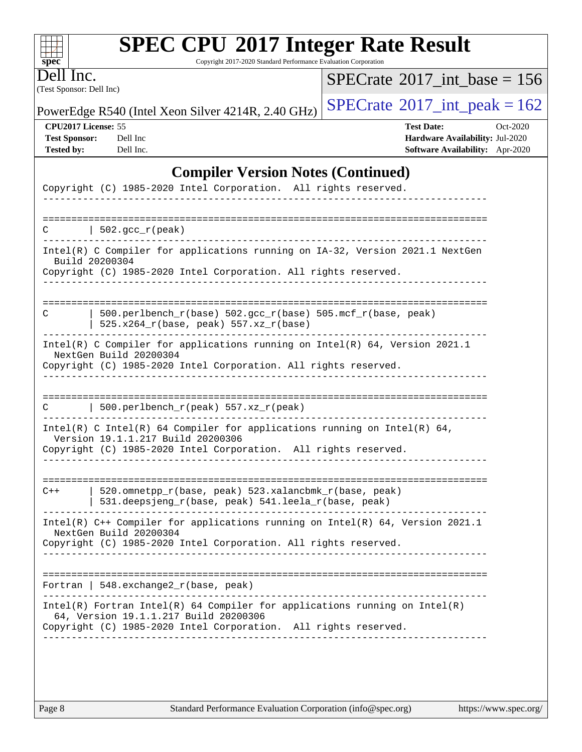| ч<br>œ<br>п.<br>c |  |  |  |  |  |  |
|-------------------|--|--|--|--|--|--|

Copyright 2017-2020 Standard Performance Evaluation Corporation

(Test Sponsor: Dell Inc) Dell Inc.

 $SPECrate$ <sup>®</sup>[2017\\_int\\_base =](http://www.spec.org/auto/cpu2017/Docs/result-fields.html#SPECrate2017intbase) 156

PowerEdge R540 (Intel Xeon Silver 4214R, 2.40 GHz)  $\left|$  [SPECrate](http://www.spec.org/auto/cpu2017/Docs/result-fields.html#SPECrate2017intpeak)<sup>®</sup>[2017\\_int\\_peak = 1](http://www.spec.org/auto/cpu2017/Docs/result-fields.html#SPECrate2017intpeak)62

**[CPU2017 License:](http://www.spec.org/auto/cpu2017/Docs/result-fields.html#CPU2017License)** 55 **[Test Date:](http://www.spec.org/auto/cpu2017/Docs/result-fields.html#TestDate)** Oct-2020 **[Test Sponsor:](http://www.spec.org/auto/cpu2017/Docs/result-fields.html#TestSponsor)** Dell Inc **[Hardware Availability:](http://www.spec.org/auto/cpu2017/Docs/result-fields.html#HardwareAvailability)** Jul-2020 **[Tested by:](http://www.spec.org/auto/cpu2017/Docs/result-fields.html#Testedby)** Dell Inc. **[Software Availability:](http://www.spec.org/auto/cpu2017/Docs/result-fields.html#SoftwareAvailability)** Apr-2020

## **[Compiler Version Notes \(Continued\)](http://www.spec.org/auto/cpu2017/Docs/result-fields.html#CompilerVersionNotes)**

| Copyright (C) 1985-2020 Intel Corporation. All rights reserved.                                                       |
|-----------------------------------------------------------------------------------------------------------------------|
|                                                                                                                       |
| $  502.\text{gcc_r(peak)}$<br>$\subset$                                                                               |
| Intel(R) C Compiler for applications running on IA-32, Version 2021.1 NextGen<br>Build 20200304                       |
| Copyright (C) 1985-2020 Intel Corporation. All rights reserved.                                                       |
|                                                                                                                       |
| 500.perlbench_r(base) 502.gcc_r(base) 505.mcf_r(base, peak)<br>C<br>525.x264_r(base, peak) 557.xz_r(base)             |
| Intel(R) C Compiler for applications running on Intel(R) 64, Version 2021.1<br>NextGen Build 20200304                 |
| Copyright (C) 1985-2020 Intel Corporation. All rights reserved.                                                       |
|                                                                                                                       |
| $500. perlbench_r(peak) 557. xz_r(peak)$<br>C                                                                         |
| Intel(R) C Intel(R) 64 Compiler for applications running on Intel(R) 64,<br>Version 19.1.1.217 Build 20200306         |
| Copyright (C) 1985-2020 Intel Corporation. All rights reserved.                                                       |
|                                                                                                                       |
| 520.omnetpp_r(base, peak) 523.xalancbmk_r(base, peak)<br>$C++$<br>531.deepsjeng_r(base, peak) 541.leela_r(base, peak) |
| Intel(R) C++ Compiler for applications running on Intel(R) 64, Version 2021.1<br>NextGen Build 20200304               |
| Copyright (C) 1985-2020 Intel Corporation. All rights reserved.                                                       |
|                                                                                                                       |
| Fortran   548.exchange2_r(base, peak)                                                                                 |
| $Intel(R)$ Fortran Intel(R) 64 Compiler for applications running on Intel(R)<br>64, Version 19.1.1.217 Build 20200306 |
| Copyright (C) 1985-2020 Intel Corporation. All rights reserved.                                                       |
|                                                                                                                       |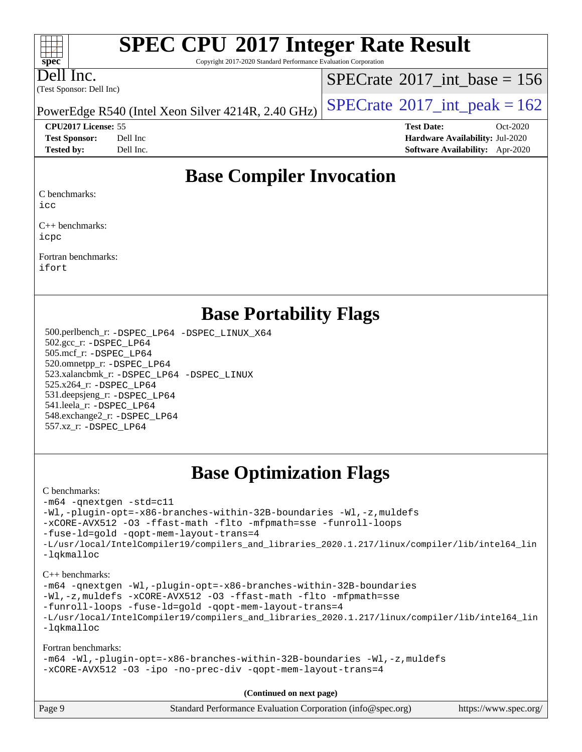Copyright 2017-2020 Standard Performance Evaluation Corporation

Dell Inc.

**[spec](http://www.spec.org/)**

 $+\ +$ 

(Test Sponsor: Dell Inc)

 $SPECTate$ <sup>®</sup>[2017\\_int\\_base =](http://www.spec.org/auto/cpu2017/Docs/result-fields.html#SPECrate2017intbase) 156

PowerEdge R540 (Intel Xeon Silver 4214R, 2.40 GHz)  $\left|$  [SPECrate](http://www.spec.org/auto/cpu2017/Docs/result-fields.html#SPECrate2017intpeak)<sup>®</sup>[2017\\_int\\_peak = 1](http://www.spec.org/auto/cpu2017/Docs/result-fields.html#SPECrate2017intpeak)62

**[Test Sponsor:](http://www.spec.org/auto/cpu2017/Docs/result-fields.html#TestSponsor)** Dell Inc **[Hardware Availability:](http://www.spec.org/auto/cpu2017/Docs/result-fields.html#HardwareAvailability)** Jul-2020 **[Tested by:](http://www.spec.org/auto/cpu2017/Docs/result-fields.html#Testedby)** Dell Inc. **[Software Availability:](http://www.spec.org/auto/cpu2017/Docs/result-fields.html#SoftwareAvailability)** Apr-2020

**[CPU2017 License:](http://www.spec.org/auto/cpu2017/Docs/result-fields.html#CPU2017License)** 55 **[Test Date:](http://www.spec.org/auto/cpu2017/Docs/result-fields.html#TestDate)** Oct-2020

**[Base Compiler Invocation](http://www.spec.org/auto/cpu2017/Docs/result-fields.html#BaseCompilerInvocation)**

[C benchmarks](http://www.spec.org/auto/cpu2017/Docs/result-fields.html#Cbenchmarks):

[icc](http://www.spec.org/cpu2017/results/res2020q4/cpu2017-20201020-24219.flags.html#user_CCbase_intel_icc_66fc1ee009f7361af1fbd72ca7dcefbb700085f36577c54f309893dd4ec40d12360134090235512931783d35fd58c0460139e722d5067c5574d8eaf2b3e37e92)

[C++ benchmarks:](http://www.spec.org/auto/cpu2017/Docs/result-fields.html#CXXbenchmarks) [icpc](http://www.spec.org/cpu2017/results/res2020q4/cpu2017-20201020-24219.flags.html#user_CXXbase_intel_icpc_c510b6838c7f56d33e37e94d029a35b4a7bccf4766a728ee175e80a419847e808290a9b78be685c44ab727ea267ec2f070ec5dc83b407c0218cded6866a35d07)

[Fortran benchmarks](http://www.spec.org/auto/cpu2017/Docs/result-fields.html#Fortranbenchmarks): [ifort](http://www.spec.org/cpu2017/results/res2020q4/cpu2017-20201020-24219.flags.html#user_FCbase_intel_ifort_8111460550e3ca792625aed983ce982f94888b8b503583aa7ba2b8303487b4d8a21a13e7191a45c5fd58ff318f48f9492884d4413fa793fd88dd292cad7027ca)

## **[Base Portability Flags](http://www.spec.org/auto/cpu2017/Docs/result-fields.html#BasePortabilityFlags)**

 500.perlbench\_r: [-DSPEC\\_LP64](http://www.spec.org/cpu2017/results/res2020q4/cpu2017-20201020-24219.flags.html#b500.perlbench_r_basePORTABILITY_DSPEC_LP64) [-DSPEC\\_LINUX\\_X64](http://www.spec.org/cpu2017/results/res2020q4/cpu2017-20201020-24219.flags.html#b500.perlbench_r_baseCPORTABILITY_DSPEC_LINUX_X64) 502.gcc\_r: [-DSPEC\\_LP64](http://www.spec.org/cpu2017/results/res2020q4/cpu2017-20201020-24219.flags.html#suite_basePORTABILITY502_gcc_r_DSPEC_LP64) 505.mcf\_r: [-DSPEC\\_LP64](http://www.spec.org/cpu2017/results/res2020q4/cpu2017-20201020-24219.flags.html#suite_basePORTABILITY505_mcf_r_DSPEC_LP64) 520.omnetpp\_r: [-DSPEC\\_LP64](http://www.spec.org/cpu2017/results/res2020q4/cpu2017-20201020-24219.flags.html#suite_basePORTABILITY520_omnetpp_r_DSPEC_LP64) 523.xalancbmk\_r: [-DSPEC\\_LP64](http://www.spec.org/cpu2017/results/res2020q4/cpu2017-20201020-24219.flags.html#suite_basePORTABILITY523_xalancbmk_r_DSPEC_LP64) [-DSPEC\\_LINUX](http://www.spec.org/cpu2017/results/res2020q4/cpu2017-20201020-24219.flags.html#b523.xalancbmk_r_baseCXXPORTABILITY_DSPEC_LINUX) 525.x264\_r: [-DSPEC\\_LP64](http://www.spec.org/cpu2017/results/res2020q4/cpu2017-20201020-24219.flags.html#suite_basePORTABILITY525_x264_r_DSPEC_LP64) 531.deepsjeng\_r: [-DSPEC\\_LP64](http://www.spec.org/cpu2017/results/res2020q4/cpu2017-20201020-24219.flags.html#suite_basePORTABILITY531_deepsjeng_r_DSPEC_LP64) 541.leela\_r: [-DSPEC\\_LP64](http://www.spec.org/cpu2017/results/res2020q4/cpu2017-20201020-24219.flags.html#suite_basePORTABILITY541_leela_r_DSPEC_LP64) 548.exchange2\_r: [-DSPEC\\_LP64](http://www.spec.org/cpu2017/results/res2020q4/cpu2017-20201020-24219.flags.html#suite_basePORTABILITY548_exchange2_r_DSPEC_LP64) 557.xz\_r: [-DSPEC\\_LP64](http://www.spec.org/cpu2017/results/res2020q4/cpu2017-20201020-24219.flags.html#suite_basePORTABILITY557_xz_r_DSPEC_LP64)

## **[Base Optimization Flags](http://www.spec.org/auto/cpu2017/Docs/result-fields.html#BaseOptimizationFlags)**

#### [C benchmarks](http://www.spec.org/auto/cpu2017/Docs/result-fields.html#Cbenchmarks):

[-m64](http://www.spec.org/cpu2017/results/res2020q4/cpu2017-20201020-24219.flags.html#user_CCbase_m64-icc) [-qnextgen](http://www.spec.org/cpu2017/results/res2020q4/cpu2017-20201020-24219.flags.html#user_CCbase_f-qnextgen) [-std=c11](http://www.spec.org/cpu2017/results/res2020q4/cpu2017-20201020-24219.flags.html#user_CCbase_std-icc-std_0e1c27790398a4642dfca32ffe6c27b5796f9c2d2676156f2e42c9c44eaad0c049b1cdb667a270c34d979996257aeb8fc440bfb01818dbc9357bd9d174cb8524) [-Wl,-plugin-opt=-x86-branches-within-32B-boundaries](http://www.spec.org/cpu2017/results/res2020q4/cpu2017-20201020-24219.flags.html#user_CCbase_f-x86-branches-within-32B-boundaries_0098b4e4317ae60947b7b728078a624952a08ac37a3c797dfb4ffeb399e0c61a9dd0f2f44ce917e9361fb9076ccb15e7824594512dd315205382d84209e912f3) [-Wl,-z,muldefs](http://www.spec.org/cpu2017/results/res2020q4/cpu2017-20201020-24219.flags.html#user_CCbase_link_force_multiple1_b4cbdb97b34bdee9ceefcfe54f4c8ea74255f0b02a4b23e853cdb0e18eb4525ac79b5a88067c842dd0ee6996c24547a27a4b99331201badda8798ef8a743f577) [-xCORE-AVX512](http://www.spec.org/cpu2017/results/res2020q4/cpu2017-20201020-24219.flags.html#user_CCbase_f-xCORE-AVX512) [-O3](http://www.spec.org/cpu2017/results/res2020q4/cpu2017-20201020-24219.flags.html#user_CCbase_f-O3) [-ffast-math](http://www.spec.org/cpu2017/results/res2020q4/cpu2017-20201020-24219.flags.html#user_CCbase_f-ffast-math) [-flto](http://www.spec.org/cpu2017/results/res2020q4/cpu2017-20201020-24219.flags.html#user_CCbase_f-flto) [-mfpmath=sse](http://www.spec.org/cpu2017/results/res2020q4/cpu2017-20201020-24219.flags.html#user_CCbase_f-mfpmath_70eb8fac26bde974f8ab713bc9086c5621c0b8d2f6c86f38af0bd7062540daf19db5f3a066d8c6684be05d84c9b6322eb3b5be6619d967835195b93d6c02afa1) [-funroll-loops](http://www.spec.org/cpu2017/results/res2020q4/cpu2017-20201020-24219.flags.html#user_CCbase_f-funroll-loops) [-fuse-ld=gold](http://www.spec.org/cpu2017/results/res2020q4/cpu2017-20201020-24219.flags.html#user_CCbase_f-fuse-ld_920b3586e2b8c6e0748b9c84fa9b744736ba725a32cab14ad8f3d4ad28eecb2f59d1144823d2e17006539a88734fe1fc08fc3035f7676166309105a78aaabc32) [-qopt-mem-layout-trans=4](http://www.spec.org/cpu2017/results/res2020q4/cpu2017-20201020-24219.flags.html#user_CCbase_f-qopt-mem-layout-trans_fa39e755916c150a61361b7846f310bcdf6f04e385ef281cadf3647acec3f0ae266d1a1d22d972a7087a248fd4e6ca390a3634700869573d231a252c784941a8) [-L/usr/local/IntelCompiler19/compilers\\_and\\_libraries\\_2020.1.217/linux/compiler/lib/intel64\\_lin](http://www.spec.org/cpu2017/results/res2020q4/cpu2017-20201020-24219.flags.html#user_CCbase_linkpath_2cb6f503891ebf8baee7515f4e7d4ec1217444d1d05903cc0091ac4158de400651d2b2313a9fa414cb8a8f0e16ab029634f5c6db340f400369c190d4db8a54a0) [-lqkmalloc](http://www.spec.org/cpu2017/results/res2020q4/cpu2017-20201020-24219.flags.html#user_CCbase_qkmalloc_link_lib_79a818439969f771c6bc311cfd333c00fc099dad35c030f5aab9dda831713d2015205805422f83de8875488a2991c0a156aaa600e1f9138f8fc37004abc96dc5)

#### [C++ benchmarks](http://www.spec.org/auto/cpu2017/Docs/result-fields.html#CXXbenchmarks):

[-m64](http://www.spec.org/cpu2017/results/res2020q4/cpu2017-20201020-24219.flags.html#user_CXXbase_m64-icc) [-qnextgen](http://www.spec.org/cpu2017/results/res2020q4/cpu2017-20201020-24219.flags.html#user_CXXbase_f-qnextgen) [-Wl,-plugin-opt=-x86-branches-within-32B-boundaries](http://www.spec.org/cpu2017/results/res2020q4/cpu2017-20201020-24219.flags.html#user_CXXbase_f-x86-branches-within-32B-boundaries_0098b4e4317ae60947b7b728078a624952a08ac37a3c797dfb4ffeb399e0c61a9dd0f2f44ce917e9361fb9076ccb15e7824594512dd315205382d84209e912f3) [-Wl,-z,muldefs](http://www.spec.org/cpu2017/results/res2020q4/cpu2017-20201020-24219.flags.html#user_CXXbase_link_force_multiple1_b4cbdb97b34bdee9ceefcfe54f4c8ea74255f0b02a4b23e853cdb0e18eb4525ac79b5a88067c842dd0ee6996c24547a27a4b99331201badda8798ef8a743f577) [-xCORE-AVX512](http://www.spec.org/cpu2017/results/res2020q4/cpu2017-20201020-24219.flags.html#user_CXXbase_f-xCORE-AVX512) [-O3](http://www.spec.org/cpu2017/results/res2020q4/cpu2017-20201020-24219.flags.html#user_CXXbase_f-O3) [-ffast-math](http://www.spec.org/cpu2017/results/res2020q4/cpu2017-20201020-24219.flags.html#user_CXXbase_f-ffast-math) [-flto](http://www.spec.org/cpu2017/results/res2020q4/cpu2017-20201020-24219.flags.html#user_CXXbase_f-flto) [-mfpmath=sse](http://www.spec.org/cpu2017/results/res2020q4/cpu2017-20201020-24219.flags.html#user_CXXbase_f-mfpmath_70eb8fac26bde974f8ab713bc9086c5621c0b8d2f6c86f38af0bd7062540daf19db5f3a066d8c6684be05d84c9b6322eb3b5be6619d967835195b93d6c02afa1) [-funroll-loops](http://www.spec.org/cpu2017/results/res2020q4/cpu2017-20201020-24219.flags.html#user_CXXbase_f-funroll-loops) [-fuse-ld=gold](http://www.spec.org/cpu2017/results/res2020q4/cpu2017-20201020-24219.flags.html#user_CXXbase_f-fuse-ld_920b3586e2b8c6e0748b9c84fa9b744736ba725a32cab14ad8f3d4ad28eecb2f59d1144823d2e17006539a88734fe1fc08fc3035f7676166309105a78aaabc32) [-qopt-mem-layout-trans=4](http://www.spec.org/cpu2017/results/res2020q4/cpu2017-20201020-24219.flags.html#user_CXXbase_f-qopt-mem-layout-trans_fa39e755916c150a61361b7846f310bcdf6f04e385ef281cadf3647acec3f0ae266d1a1d22d972a7087a248fd4e6ca390a3634700869573d231a252c784941a8) [-L/usr/local/IntelCompiler19/compilers\\_and\\_libraries\\_2020.1.217/linux/compiler/lib/intel64\\_lin](http://www.spec.org/cpu2017/results/res2020q4/cpu2017-20201020-24219.flags.html#user_CXXbase_linkpath_2cb6f503891ebf8baee7515f4e7d4ec1217444d1d05903cc0091ac4158de400651d2b2313a9fa414cb8a8f0e16ab029634f5c6db340f400369c190d4db8a54a0) [-lqkmalloc](http://www.spec.org/cpu2017/results/res2020q4/cpu2017-20201020-24219.flags.html#user_CXXbase_qkmalloc_link_lib_79a818439969f771c6bc311cfd333c00fc099dad35c030f5aab9dda831713d2015205805422f83de8875488a2991c0a156aaa600e1f9138f8fc37004abc96dc5)

#### [Fortran benchmarks:](http://www.spec.org/auto/cpu2017/Docs/result-fields.html#Fortranbenchmarks)

[-m64](http://www.spec.org/cpu2017/results/res2020q4/cpu2017-20201020-24219.flags.html#user_FCbase_m64-icc) [-Wl,-plugin-opt=-x86-branches-within-32B-boundaries](http://www.spec.org/cpu2017/results/res2020q4/cpu2017-20201020-24219.flags.html#user_FCbase_f-x86-branches-within-32B-boundaries_0098b4e4317ae60947b7b728078a624952a08ac37a3c797dfb4ffeb399e0c61a9dd0f2f44ce917e9361fb9076ccb15e7824594512dd315205382d84209e912f3) [-Wl,-z,muldefs](http://www.spec.org/cpu2017/results/res2020q4/cpu2017-20201020-24219.flags.html#user_FCbase_link_force_multiple1_b4cbdb97b34bdee9ceefcfe54f4c8ea74255f0b02a4b23e853cdb0e18eb4525ac79b5a88067c842dd0ee6996c24547a27a4b99331201badda8798ef8a743f577) [-xCORE-AVX512](http://www.spec.org/cpu2017/results/res2020q4/cpu2017-20201020-24219.flags.html#user_FCbase_f-xCORE-AVX512) [-O3](http://www.spec.org/cpu2017/results/res2020q4/cpu2017-20201020-24219.flags.html#user_FCbase_f-O3) [-ipo](http://www.spec.org/cpu2017/results/res2020q4/cpu2017-20201020-24219.flags.html#user_FCbase_f-ipo) [-no-prec-div](http://www.spec.org/cpu2017/results/res2020q4/cpu2017-20201020-24219.flags.html#user_FCbase_f-no-prec-div) [-qopt-mem-layout-trans=4](http://www.spec.org/cpu2017/results/res2020q4/cpu2017-20201020-24219.flags.html#user_FCbase_f-qopt-mem-layout-trans_fa39e755916c150a61361b7846f310bcdf6f04e385ef281cadf3647acec3f0ae266d1a1d22d972a7087a248fd4e6ca390a3634700869573d231a252c784941a8)

**(Continued on next page)**

| Standard Performance Evaluation Corporation (info@spec.org)<br>Page 9 |  |                       |
|-----------------------------------------------------------------------|--|-----------------------|
|                                                                       |  | https://www.spec.org/ |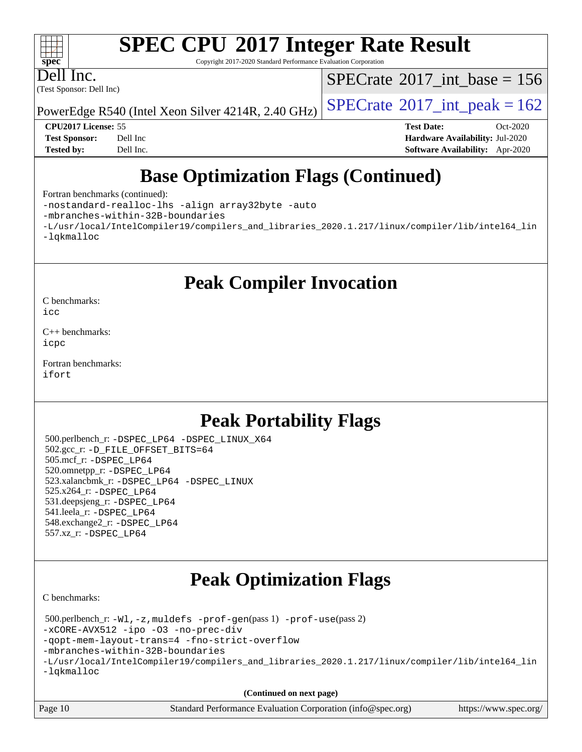Copyright 2017-2020 Standard Performance Evaluation Corporation

Dell Inc.

**[spec](http://www.spec.org/)**

 $\pm\pm\tau$ 

(Test Sponsor: Dell Inc)

 $SPECrate$ <sup>®</sup>[2017\\_int\\_base =](http://www.spec.org/auto/cpu2017/Docs/result-fields.html#SPECrate2017intbase) 156

PowerEdge R540 (Intel Xeon Silver 4214R, 2.40 GHz)  $\left|$  [SPECrate](http://www.spec.org/auto/cpu2017/Docs/result-fields.html#SPECrate2017intpeak)<sup>®</sup>[2017\\_int\\_peak = 1](http://www.spec.org/auto/cpu2017/Docs/result-fields.html#SPECrate2017intpeak)62

**[CPU2017 License:](http://www.spec.org/auto/cpu2017/Docs/result-fields.html#CPU2017License)** 55 **[Test Date:](http://www.spec.org/auto/cpu2017/Docs/result-fields.html#TestDate)** Oct-2020 **[Test Sponsor:](http://www.spec.org/auto/cpu2017/Docs/result-fields.html#TestSponsor)** Dell Inc **[Hardware Availability:](http://www.spec.org/auto/cpu2017/Docs/result-fields.html#HardwareAvailability)** Jul-2020 **[Tested by:](http://www.spec.org/auto/cpu2017/Docs/result-fields.html#Testedby)** Dell Inc. **[Software Availability:](http://www.spec.org/auto/cpu2017/Docs/result-fields.html#SoftwareAvailability)** Apr-2020

## **[Base Optimization Flags \(Continued\)](http://www.spec.org/auto/cpu2017/Docs/result-fields.html#BaseOptimizationFlags)**

[Fortran benchmarks](http://www.spec.org/auto/cpu2017/Docs/result-fields.html#Fortranbenchmarks) (continued):

[-nostandard-realloc-lhs](http://www.spec.org/cpu2017/results/res2020q4/cpu2017-20201020-24219.flags.html#user_FCbase_f_2003_std_realloc_82b4557e90729c0f113870c07e44d33d6f5a304b4f63d4c15d2d0f1fab99f5daaed73bdb9275d9ae411527f28b936061aa8b9c8f2d63842963b95c9dd6426b8a) [-align array32byte](http://www.spec.org/cpu2017/results/res2020q4/cpu2017-20201020-24219.flags.html#user_FCbase_align_array32byte_b982fe038af199962ba9a80c053b8342c548c85b40b8e86eb3cc33dee0d7986a4af373ac2d51c3f7cf710a18d62fdce2948f201cd044323541f22fc0fffc51b6) [-auto](http://www.spec.org/cpu2017/results/res2020q4/cpu2017-20201020-24219.flags.html#user_FCbase_f-auto)

[-mbranches-within-32B-boundaries](http://www.spec.org/cpu2017/results/res2020q4/cpu2017-20201020-24219.flags.html#user_FCbase_f-mbranches-within-32B-boundaries)

[-L/usr/local/IntelCompiler19/compilers\\_and\\_libraries\\_2020.1.217/linux/compiler/lib/intel64\\_lin](http://www.spec.org/cpu2017/results/res2020q4/cpu2017-20201020-24219.flags.html#user_FCbase_linkpath_2cb6f503891ebf8baee7515f4e7d4ec1217444d1d05903cc0091ac4158de400651d2b2313a9fa414cb8a8f0e16ab029634f5c6db340f400369c190d4db8a54a0) [-lqkmalloc](http://www.spec.org/cpu2017/results/res2020q4/cpu2017-20201020-24219.flags.html#user_FCbase_qkmalloc_link_lib_79a818439969f771c6bc311cfd333c00fc099dad35c030f5aab9dda831713d2015205805422f83de8875488a2991c0a156aaa600e1f9138f8fc37004abc96dc5)

**[Peak Compiler Invocation](http://www.spec.org/auto/cpu2017/Docs/result-fields.html#PeakCompilerInvocation)**

[C benchmarks](http://www.spec.org/auto/cpu2017/Docs/result-fields.html#Cbenchmarks): [icc](http://www.spec.org/cpu2017/results/res2020q4/cpu2017-20201020-24219.flags.html#user_CCpeak_intel_icc_66fc1ee009f7361af1fbd72ca7dcefbb700085f36577c54f309893dd4ec40d12360134090235512931783d35fd58c0460139e722d5067c5574d8eaf2b3e37e92)

[C++ benchmarks:](http://www.spec.org/auto/cpu2017/Docs/result-fields.html#CXXbenchmarks) [icpc](http://www.spec.org/cpu2017/results/res2020q4/cpu2017-20201020-24219.flags.html#user_CXXpeak_intel_icpc_c510b6838c7f56d33e37e94d029a35b4a7bccf4766a728ee175e80a419847e808290a9b78be685c44ab727ea267ec2f070ec5dc83b407c0218cded6866a35d07)

[Fortran benchmarks](http://www.spec.org/auto/cpu2017/Docs/result-fields.html#Fortranbenchmarks): [ifort](http://www.spec.org/cpu2017/results/res2020q4/cpu2017-20201020-24219.flags.html#user_FCpeak_intel_ifort_8111460550e3ca792625aed983ce982f94888b8b503583aa7ba2b8303487b4d8a21a13e7191a45c5fd58ff318f48f9492884d4413fa793fd88dd292cad7027ca)

## **[Peak Portability Flags](http://www.spec.org/auto/cpu2017/Docs/result-fields.html#PeakPortabilityFlags)**

 500.perlbench\_r: [-DSPEC\\_LP64](http://www.spec.org/cpu2017/results/res2020q4/cpu2017-20201020-24219.flags.html#b500.perlbench_r_peakPORTABILITY_DSPEC_LP64) [-DSPEC\\_LINUX\\_X64](http://www.spec.org/cpu2017/results/res2020q4/cpu2017-20201020-24219.flags.html#b500.perlbench_r_peakCPORTABILITY_DSPEC_LINUX_X64) 502.gcc\_r: [-D\\_FILE\\_OFFSET\\_BITS=64](http://www.spec.org/cpu2017/results/res2020q4/cpu2017-20201020-24219.flags.html#user_peakPORTABILITY502_gcc_r_file_offset_bits_64_5ae949a99b284ddf4e95728d47cb0843d81b2eb0e18bdfe74bbf0f61d0b064f4bda2f10ea5eb90e1dcab0e84dbc592acfc5018bc955c18609f94ddb8d550002c) 505.mcf\_r: [-DSPEC\\_LP64](http://www.spec.org/cpu2017/results/res2020q4/cpu2017-20201020-24219.flags.html#suite_peakPORTABILITY505_mcf_r_DSPEC_LP64) 520.omnetpp\_r: [-DSPEC\\_LP64](http://www.spec.org/cpu2017/results/res2020q4/cpu2017-20201020-24219.flags.html#suite_peakPORTABILITY520_omnetpp_r_DSPEC_LP64) 523.xalancbmk\_r: [-DSPEC\\_LP64](http://www.spec.org/cpu2017/results/res2020q4/cpu2017-20201020-24219.flags.html#suite_peakPORTABILITY523_xalancbmk_r_DSPEC_LP64) [-DSPEC\\_LINUX](http://www.spec.org/cpu2017/results/res2020q4/cpu2017-20201020-24219.flags.html#b523.xalancbmk_r_peakCXXPORTABILITY_DSPEC_LINUX) 525.x264\_r: [-DSPEC\\_LP64](http://www.spec.org/cpu2017/results/res2020q4/cpu2017-20201020-24219.flags.html#suite_peakPORTABILITY525_x264_r_DSPEC_LP64) 531.deepsjeng\_r: [-DSPEC\\_LP64](http://www.spec.org/cpu2017/results/res2020q4/cpu2017-20201020-24219.flags.html#suite_peakPORTABILITY531_deepsjeng_r_DSPEC_LP64) 541.leela\_r: [-DSPEC\\_LP64](http://www.spec.org/cpu2017/results/res2020q4/cpu2017-20201020-24219.flags.html#suite_peakPORTABILITY541_leela_r_DSPEC_LP64) 548.exchange2\_r: [-DSPEC\\_LP64](http://www.spec.org/cpu2017/results/res2020q4/cpu2017-20201020-24219.flags.html#suite_peakPORTABILITY548_exchange2_r_DSPEC_LP64) 557.xz\_r: [-DSPEC\\_LP64](http://www.spec.org/cpu2017/results/res2020q4/cpu2017-20201020-24219.flags.html#suite_peakPORTABILITY557_xz_r_DSPEC_LP64)

## **[Peak Optimization Flags](http://www.spec.org/auto/cpu2017/Docs/result-fields.html#PeakOptimizationFlags)**

[C benchmarks](http://www.spec.org/auto/cpu2017/Docs/result-fields.html#Cbenchmarks):

 500.perlbench\_r: [-Wl,-z,muldefs](http://www.spec.org/cpu2017/results/res2020q4/cpu2017-20201020-24219.flags.html#user_peakEXTRA_LDFLAGS500_perlbench_r_link_force_multiple1_b4cbdb97b34bdee9ceefcfe54f4c8ea74255f0b02a4b23e853cdb0e18eb4525ac79b5a88067c842dd0ee6996c24547a27a4b99331201badda8798ef8a743f577) [-prof-gen](http://www.spec.org/cpu2017/results/res2020q4/cpu2017-20201020-24219.flags.html#user_peakPASS1_CFLAGSPASS1_LDFLAGS500_perlbench_r_prof_gen_5aa4926d6013ddb2a31985c654b3eb18169fc0c6952a63635c234f711e6e63dd76e94ad52365559451ec499a2cdb89e4dc58ba4c67ef54ca681ffbe1461d6b36)(pass 1) [-prof-use](http://www.spec.org/cpu2017/results/res2020q4/cpu2017-20201020-24219.flags.html#user_peakPASS2_CFLAGSPASS2_LDFLAGS500_perlbench_r_prof_use_1a21ceae95f36a2b53c25747139a6c16ca95bd9def2a207b4f0849963b97e94f5260e30a0c64f4bb623698870e679ca08317ef8150905d41bd88c6f78df73f19)(pass 2) [-xCORE-AVX512](http://www.spec.org/cpu2017/results/res2020q4/cpu2017-20201020-24219.flags.html#user_peakCOPTIMIZE500_perlbench_r_f-xCORE-AVX512) [-ipo](http://www.spec.org/cpu2017/results/res2020q4/cpu2017-20201020-24219.flags.html#user_peakCOPTIMIZE500_perlbench_r_f-ipo) [-O3](http://www.spec.org/cpu2017/results/res2020q4/cpu2017-20201020-24219.flags.html#user_peakCOPTIMIZE500_perlbench_r_f-O3) [-no-prec-div](http://www.spec.org/cpu2017/results/res2020q4/cpu2017-20201020-24219.flags.html#user_peakCOPTIMIZE500_perlbench_r_f-no-prec-div) [-qopt-mem-layout-trans=4](http://www.spec.org/cpu2017/results/res2020q4/cpu2017-20201020-24219.flags.html#user_peakCOPTIMIZE500_perlbench_r_f-qopt-mem-layout-trans_fa39e755916c150a61361b7846f310bcdf6f04e385ef281cadf3647acec3f0ae266d1a1d22d972a7087a248fd4e6ca390a3634700869573d231a252c784941a8) [-fno-strict-overflow](http://www.spec.org/cpu2017/results/res2020q4/cpu2017-20201020-24219.flags.html#user_peakEXTRA_OPTIMIZE500_perlbench_r_f-fno-strict-overflow) [-mbranches-within-32B-boundaries](http://www.spec.org/cpu2017/results/res2020q4/cpu2017-20201020-24219.flags.html#user_peakEXTRA_COPTIMIZE500_perlbench_r_f-mbranches-within-32B-boundaries) [-L/usr/local/IntelCompiler19/compilers\\_and\\_libraries\\_2020.1.217/linux/compiler/lib/intel64\\_lin](http://www.spec.org/cpu2017/results/res2020q4/cpu2017-20201020-24219.flags.html#user_peakEXTRA_LIBS500_perlbench_r_linkpath_2cb6f503891ebf8baee7515f4e7d4ec1217444d1d05903cc0091ac4158de400651d2b2313a9fa414cb8a8f0e16ab029634f5c6db340f400369c190d4db8a54a0) [-lqkmalloc](http://www.spec.org/cpu2017/results/res2020q4/cpu2017-20201020-24219.flags.html#user_peakEXTRA_LIBS500_perlbench_r_qkmalloc_link_lib_79a818439969f771c6bc311cfd333c00fc099dad35c030f5aab9dda831713d2015205805422f83de8875488a2991c0a156aaa600e1f9138f8fc37004abc96dc5)

**(Continued on next page)**

| Page 10 | Standard Performance Evaluation Corporation (info@spec.org) | https://www.spec.org/ |
|---------|-------------------------------------------------------------|-----------------------|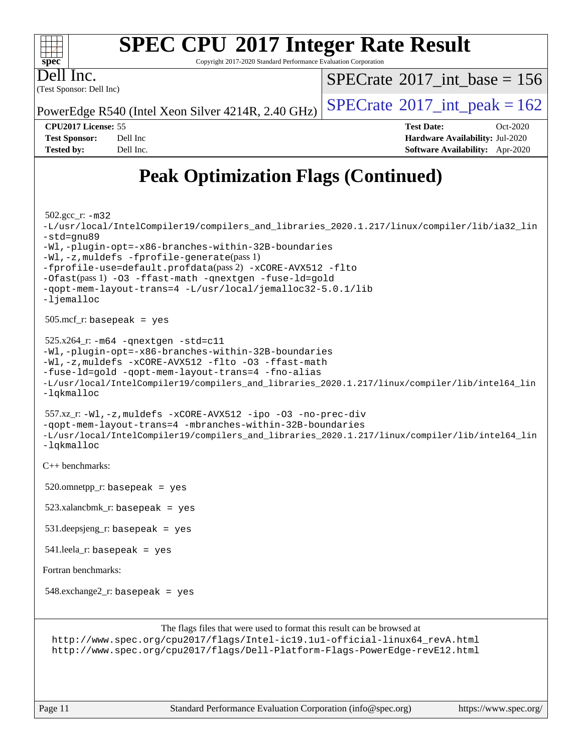#### **[SPEC CPU](http://www.spec.org/auto/cpu2017/Docs/result-fields.html#SPECCPU2017IntegerRateResult)[2017 Integer Rate Result](http://www.spec.org/auto/cpu2017/Docs/result-fields.html#SPECCPU2017IntegerRateResult)**  $\color{red} \dashv \dashv \color{red} \dashv$ **[spec](http://www.spec.org/)** Copyright 2017-2020 Standard Performance Evaluation Corporation Dell Inc.  $SPECTate$ <sup>®</sup>[2017\\_int\\_base =](http://www.spec.org/auto/cpu2017/Docs/result-fields.html#SPECrate2017intbase) 156 (Test Sponsor: Dell Inc) PowerEdge R540 (Intel Xeon Silver 4214R, 2.40 GHz)  $\left|$  [SPECrate](http://www.spec.org/auto/cpu2017/Docs/result-fields.html#SPECrate2017intpeak)<sup>®</sup>[2017\\_int\\_peak = 1](http://www.spec.org/auto/cpu2017/Docs/result-fields.html#SPECrate2017intpeak)62 **[CPU2017 License:](http://www.spec.org/auto/cpu2017/Docs/result-fields.html#CPU2017License)** 55 **[Test Date:](http://www.spec.org/auto/cpu2017/Docs/result-fields.html#TestDate)** Oct-2020

**[Test Sponsor:](http://www.spec.org/auto/cpu2017/Docs/result-fields.html#TestSponsor)** Dell Inc **[Hardware Availability:](http://www.spec.org/auto/cpu2017/Docs/result-fields.html#HardwareAvailability)** Jul-2020 **[Tested by:](http://www.spec.org/auto/cpu2017/Docs/result-fields.html#Testedby)** Dell Inc. **[Software Availability:](http://www.spec.org/auto/cpu2017/Docs/result-fields.html#SoftwareAvailability)** Apr-2020

## **[Peak Optimization Flags \(Continued\)](http://www.spec.org/auto/cpu2017/Docs/result-fields.html#PeakOptimizationFlags)**

```
 502.gcc_r: -m32
-L/usr/local/IntelCompiler19/compilers_and_libraries_2020.1.217/linux/compiler/lib/ia32_lin
-std=gnu89
-Wl,-plugin-opt=-x86-branches-within-32B-boundaries
-Wl,-z,muldefs -fprofile-generate(pass 1)
-fprofile-use=default.profdata(pass 2) -xCORE-AVX512 -flto
-Ofast(pass 1) -O3 -ffast-math -qnextgen -fuse-ld=gold
-qopt-mem-layout-trans=4 -L/usr/local/jemalloc32-5.0.1/lib
-ljemalloc
 505.mcf_r: basepeak = yes
 525.x264_r: -m64 -qnextgen -std=c11
-Wl,-plugin-opt=-x86-branches-within-32B-boundaries
-Wl,-z,muldefs -xCORE-AVX512 -flto -O3 -ffast-math
-fuse-ld=gold -qopt-mem-layout-trans=4 -fno-alias
-L/usr/local/IntelCompiler19/compilers_and_libraries_2020.1.217/linux/compiler/lib/intel64_lin
-lqkmalloc
 557.xz_r: -Wl,-z,muldefs -xCORE-AVX512 -ipo -O3 -no-prec-div
-qopt-mem-layout-trans=4 -mbranches-within-32B-boundaries
-L/usr/local/IntelCompiler19/compilers_and_libraries_2020.1.217/linux/compiler/lib/intel64_lin
-lqkmalloc
C++ benchmarks: 
520.omnetpp_r: basepeak = yes
 523.xalancbmk_r: basepeak = yes
 531.deepsjeng_r: basepeak = yes
 541.leela_r: basepeak = yes
Fortran benchmarks: 
548.exchange2_r: basepeak = yes
                       The flags files that were used to format this result can be browsed at
 http://www.spec.org/cpu2017/flags/Intel-ic19.1u1-official-linux64_revA.html
 http://www.spec.org/cpu2017/flags/Dell-Platform-Flags-PowerEdge-revE12.html
```